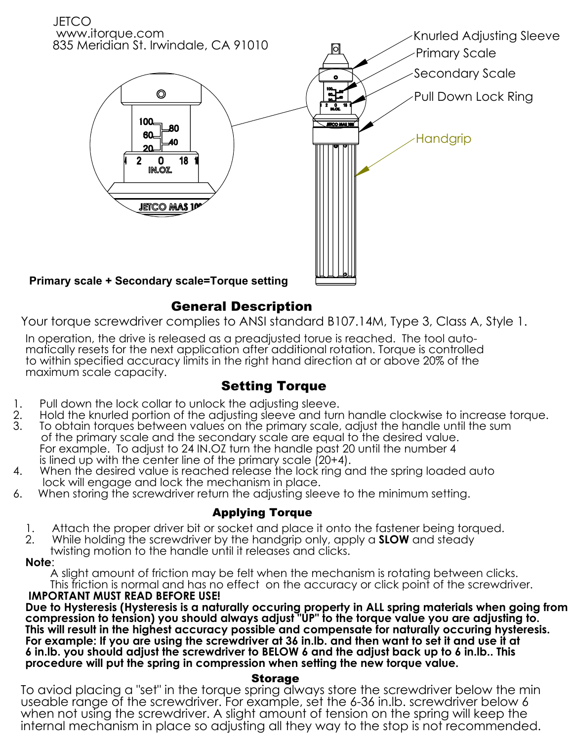

## General Description

Your torque screwdriver complies to ANSI standard B107.14M, Type 3, Class A, Style 1.

In operation, the drive is released as a preadjusted torue is reached. The tool automatically resets for the next application after additional rotation. Torque is controlled to within specified accuracy limits in the right hand direction at or above 20% of the maximum scale capacity.

# Setting Torque

- 
- 1. Pull down the lock collar to unlock the adjusting sleeve.<br>2. Hold the knurled portion of the adjusting sleeve and turr 2. Hold the knurled portion of the adjusting sleeve and turn handle clockwise to increase torque.<br>3. To obtain torques between values on the primary scale, adiust the handle until the sum
- To obtain torques between values on the primary scale, adjust the handle until the sum of the primary scale and the secondary scale are equal to the desired value. For example. To adjust to 24 IN.OZ turn the handle past 20 until the number 4 is lined up with the center line of the primary scale (20+4).
- 4. When the desired value is reached release the lock ring and the spring loaded auto lock will engage and lock the mechanism in place.
- 6. When storing the screwdriver return the adjusting sleeve to the minimum setting.

### Applying Torque

- 1. Attach the proper driver bit or socket and place it onto the fastener being torqued.<br>2. While holding the screwdriver by the handarip only, apply a **SLOW** and steady
- 2. While holding the screwdriver by the handgrip only, apply a **SLOW** and steady
- twisting motion to the handle until it releases and clicks.

#### **Note**:

 A slight amount of friction may be felt when the mechanism is rotating between clicks. This friction is normal and has no effect on the accuracy or click point of the screwdriver.  **IMPORTANT MUST READ BEFORE USE!**

**Due to Hysteresis (Hysteresis is a naturally occuring property in ALL spring materials when going from compression to tension) you should always adjust "UP" to the torque value you are adjusting to. This will result in the highest accuracy possible and compensate for naturally occuring hysteresis. For example: If you are using the screwdriver at 36 in.lb. and then want to set it and use it at 6 in.lb. you should adjust the screwdriver to BELOW 6 and the adjust back up to 6 in.lb.. This procedure will put the spring in compression when setting the new torque value.**

#### Storage

To aviod placing a "set" in the torque spring always store the screwdriver below the min useable range of the screwdriver. For example, set the 6-36 in.lb. screwdriver below 6 when not using the screwdriver. A slight amount of tension on the spring will keep the internal mechanism in place so adjusting all they way to the stop is not recommended.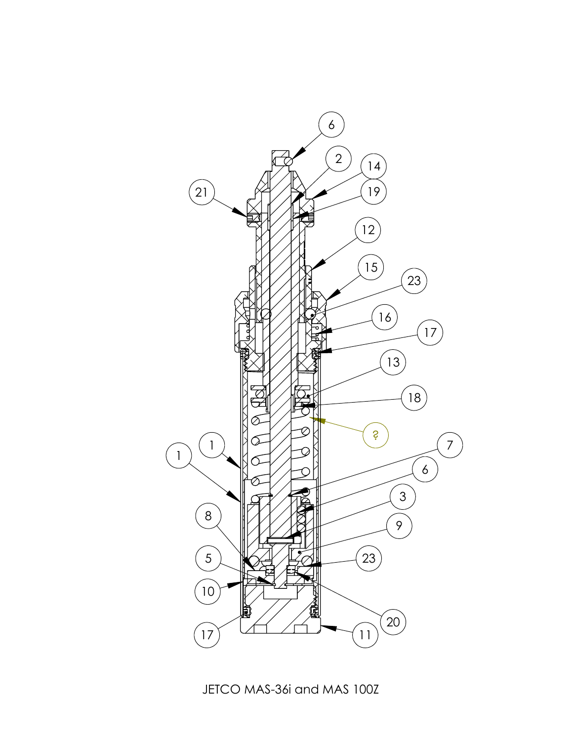

JETCO MAS-36i and MAS 100Z